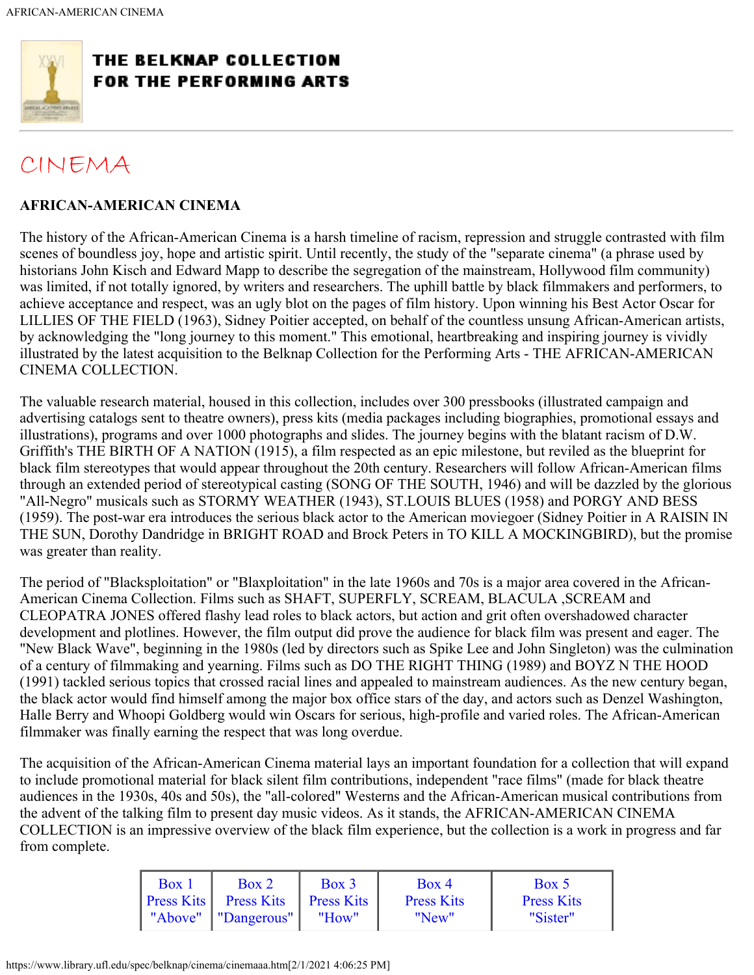<span id="page-0-0"></span>

## THE BELKNAP COLLECTION **FOR THE PERFORMING ARTS**

## [CINEMA](https://www.library.ufl.edu/spec/belknap/cinema/cinema.htm)

## **AFRICAN-AMERICAN CINEMA**

The history of the African-American Cinema is a harsh timeline of racism, repression and struggle contrasted with film scenes of boundless joy, hope and artistic spirit. Until recently, the study of the "separate cinema" (a phrase used by historians John Kisch and Edward Mapp to describe the segregation of the mainstream, Hollywood film community) was limited, if not totally ignored, by writers and researchers. The uphill battle by black filmmakers and performers, to achieve acceptance and respect, was an ugly blot on the pages of film history. Upon winning his Best Actor Oscar for LILLIES OF THE FIELD (1963), Sidney Poitier accepted, on behalf of the countless unsung African-American artists, by acknowledging the "long journey to this moment." This emotional, heartbreaking and inspiring journey is vividly illustrated by the latest acquisition to the Belknap Collection for the Performing Arts - THE AFRICAN-AMERICAN CINEMA COLLECTION.

The valuable research material, housed in this collection, includes over 300 pressbooks (illustrated campaign and advertising catalogs sent to theatre owners), press kits (media packages including biographies, promotional essays and illustrations), programs and over 1000 photographs and slides. The journey begins with the blatant racism of D.W. Griffith's THE BIRTH OF A NATION (1915), a film respected as an epic milestone, but reviled as the blueprint for black film stereotypes that would appear throughout the 20th century. Researchers will follow African-American films through an extended period of stereotypical casting (SONG OF THE SOUTH, 1946) and will be dazzled by the glorious "All-Negro" musicals such as STORMY WEATHER (1943), ST.LOUIS BLUES (1958) and PORGY AND BESS (1959). The post-war era introduces the serious black actor to the American moviegoer (Sidney Poitier in A RAISIN IN THE SUN, Dorothy Dandridge in BRIGHT ROAD and Brock Peters in TO KILL A MOCKINGBIRD), but the promise was greater than reality.

The period of "Blacksploitation" or "Blaxploitation" in the late 1960s and 70s is a major area covered in the African-American Cinema Collection. Films such as SHAFT, SUPERFLY, SCREAM, BLACULA ,SCREAM and CLEOPATRA JONES offered flashy lead roles to black actors, but action and grit often overshadowed character development and plotlines. However, the film output did prove the audience for black film was present and eager. The "New Black Wave", beginning in the 1980s (led by directors such as Spike Lee and John Singleton) was the culmination of a century of filmmaking and yearning. Films such as DO THE RIGHT THING (1989) and BOYZ N THE HOOD (1991) tackled serious topics that crossed racial lines and appealed to mainstream audiences. As the new century began, the black actor would find himself among the major box office stars of the day, and actors such as Denzel Washington, Halle Berry and Whoopi Goldberg would win Oscars for serious, high-profile and varied roles. The African-American filmmaker was finally earning the respect that was long overdue.

The acquisition of the African-American Cinema material lays an important foundation for a collection that will expand to include promotional material for black silent film contributions, independent "race films" (made for black theatre audiences in the 1930s, 40s and 50s), the "all-colored" Westerns and the African-American musical contributions from the advent of the talking film to present day music videos. As it stands, the AFRICAN-AMERICAN CINEMA COLLECTION is an impressive overview of the black film experience, but the collection is a work in progress and far from complete.

| Box 1 | Box 2                                   | $Box$ 3 | Box 4             | Box 5             |
|-------|-----------------------------------------|---------|-------------------|-------------------|
|       | <b>Press Kits</b> Press Kits Press Kits |         | <b>Press Kits</b> | <b>Press Kits</b> |
|       | "Above"   "Dangerous"                   | "How"   | "New"             | "Sister"          |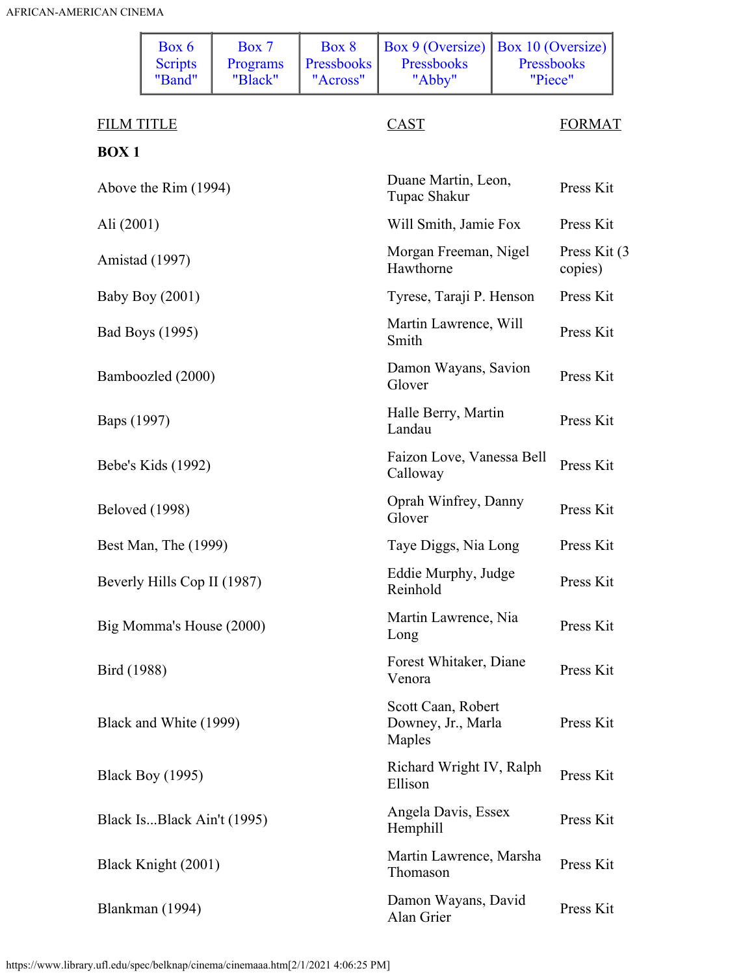<span id="page-1-0"></span>

|                      | Box 6<br><b>Scripts</b><br>"Band" | Box 7<br>Programs<br>"Black" | Box 8<br>Pressbooks<br>"Across"     | Box 9 (Oversize)<br>Pressbooks<br>"Abby"           | Box 10 (Oversize)<br>Pressbooks<br>"Piece" |                          |
|----------------------|-----------------------------------|------------------------------|-------------------------------------|----------------------------------------------------|--------------------------------------------|--------------------------|
| <b>FILM TITLE</b>    |                                   |                              |                                     | <b>CAST</b>                                        |                                            | <b>FORMAT</b>            |
| <b>BOX1</b>          |                                   |                              |                                     |                                                    |                                            |                          |
| Above the Rim (1994) |                                   |                              | Duane Martin, Leon,<br>Tupac Shakur |                                                    | Press Kit                                  |                          |
| Ali (2001)           |                                   |                              |                                     | Will Smith, Jamie Fox                              |                                            | Press Kit                |
|                      | Amistad (1997)                    |                              |                                     | Morgan Freeman, Nigel<br>Hawthorne                 |                                            | Press Kit (3)<br>copies) |
|                      | <b>Baby Boy (2001)</b>            |                              |                                     | Tyrese, Taraji P. Henson                           |                                            | Press Kit                |
|                      | Bad Boys (1995)                   |                              |                                     | Martin Lawrence, Will<br>Smith                     |                                            | Press Kit                |
|                      | Bamboozled (2000)                 |                              |                                     | Damon Wayans, Savion<br>Glover                     |                                            | Press Kit                |
| Baps (1997)          |                                   |                              |                                     | Halle Berry, Martin<br>Landau                      |                                            | Press Kit                |
|                      | Bebe's Kids (1992)                |                              |                                     | Faizon Love, Vanessa Bell<br>Calloway              |                                            | Press Kit                |
|                      | <b>Beloved</b> (1998)             |                              |                                     | Oprah Winfrey, Danny<br>Glover                     |                                            | Press Kit                |
|                      | Best Man, The (1999)              |                              |                                     | Taye Diggs, Nia Long                               |                                            | Press Kit                |
|                      | Beverly Hills Cop II (1987)       |                              |                                     | Eddie Murphy, Judge<br>Reinhold                    |                                            | Press Kit                |
|                      | Big Momma's House (2000)          |                              |                                     | Martin Lawrence, Nia<br>Long                       |                                            | Press Kit                |
| Bird (1988)          |                                   |                              |                                     | Forest Whitaker, Diane<br>Venora                   |                                            | Press Kit                |
|                      | Black and White (1999)            |                              |                                     | Scott Caan, Robert<br>Downey, Jr., Marla<br>Maples |                                            | Press Kit                |
|                      | <b>Black Boy (1995)</b>           |                              |                                     | Richard Wright IV, Ralph<br>Ellison                |                                            | Press Kit                |
|                      | Black IsBlack Ain't (1995)        |                              |                                     | Angela Davis, Essex<br>Hemphill                    |                                            | Press Kit                |
|                      | Black Knight (2001)               |                              |                                     | Martin Lawrence, Marsha<br>Thomason                |                                            | Press Kit                |
|                      | Blankman (1994)                   |                              |                                     | Damon Wayans, David<br>Alan Grier                  |                                            | Press Kit                |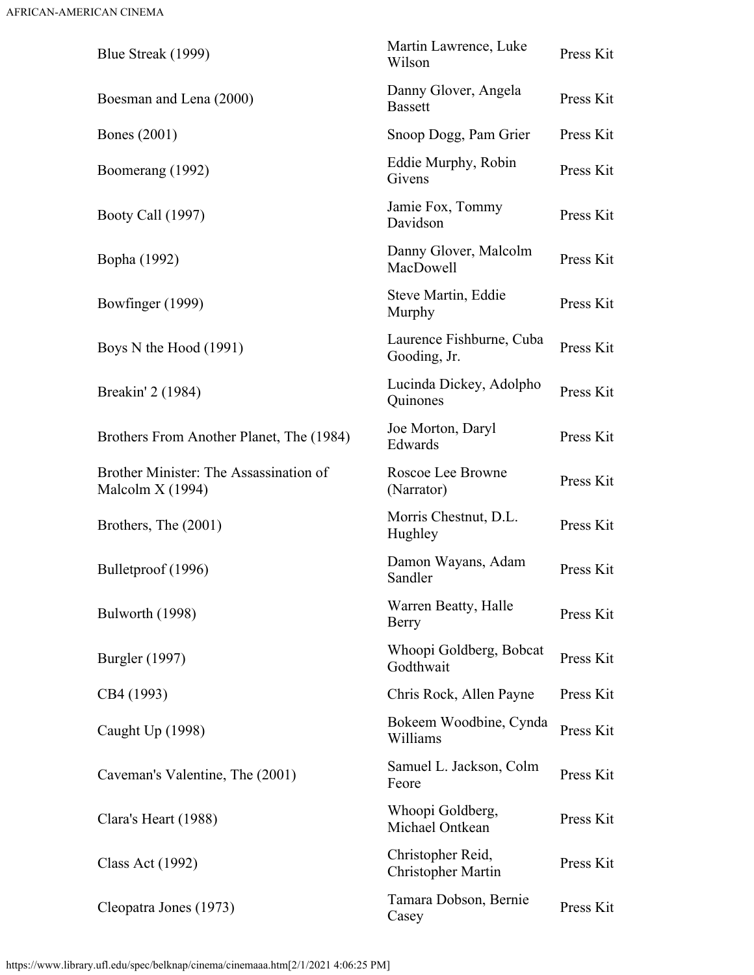| Blue Streak (1999)                                          | Martin Lawrence, Luke<br>Wilson                | Press Kit |
|-------------------------------------------------------------|------------------------------------------------|-----------|
| Boesman and Lena (2000)                                     | Danny Glover, Angela<br><b>Bassett</b>         | Press Kit |
| <b>Bones</b> (2001)                                         | Snoop Dogg, Pam Grier                          | Press Kit |
| Boomerang (1992)                                            | Eddie Murphy, Robin<br>Givens                  | Press Kit |
| Booty Call (1997)                                           | Jamie Fox, Tommy<br>Davidson                   | Press Kit |
| Bopha (1992)                                                | Danny Glover, Malcolm<br>MacDowell             | Press Kit |
| Bowfinger (1999)                                            | Steve Martin, Eddie<br>Murphy                  | Press Kit |
| Boys N the Hood (1991)                                      | Laurence Fishburne, Cuba<br>Gooding, Jr.       | Press Kit |
| Breakin' 2 (1984)                                           | Lucinda Dickey, Adolpho<br>Quinones            | Press Kit |
| Brothers From Another Planet, The (1984)                    | Joe Morton, Daryl<br>Edwards                   | Press Kit |
| Brother Minister: The Assassination of<br>Malcolm $X(1994)$ | Roscoe Lee Browne<br>(Narrator)                | Press Kit |
| Brothers, The (2001)                                        | Morris Chestnut, D.L.<br>Hughley               | Press Kit |
| Bulletproof (1996)                                          | Damon Wayans, Adam<br>Sandler                  | Press Kit |
| Bulworth (1998)                                             | Warren Beatty, Halle<br>Berry                  | Press Kit |
| <b>Burgler</b> (1997)                                       | Whoopi Goldberg, Bobcat<br>Godthwait           | Press Kit |
| CB4 (1993)                                                  | Chris Rock, Allen Payne                        | Press Kit |
| Caught Up (1998)                                            | Bokeem Woodbine, Cynda<br>Williams             | Press Kit |
| Caveman's Valentine, The (2001)                             | Samuel L. Jackson, Colm<br>Feore               | Press Kit |
| Clara's Heart (1988)                                        | Whoopi Goldberg,<br>Michael Ontkean            | Press Kit |
| <b>Class Act (1992)</b>                                     | Christopher Reid,<br><b>Christopher Martin</b> | Press Kit |
| Cleopatra Jones (1973)                                      | Tamara Dobson, Bernie<br>Casey                 | Press Kit |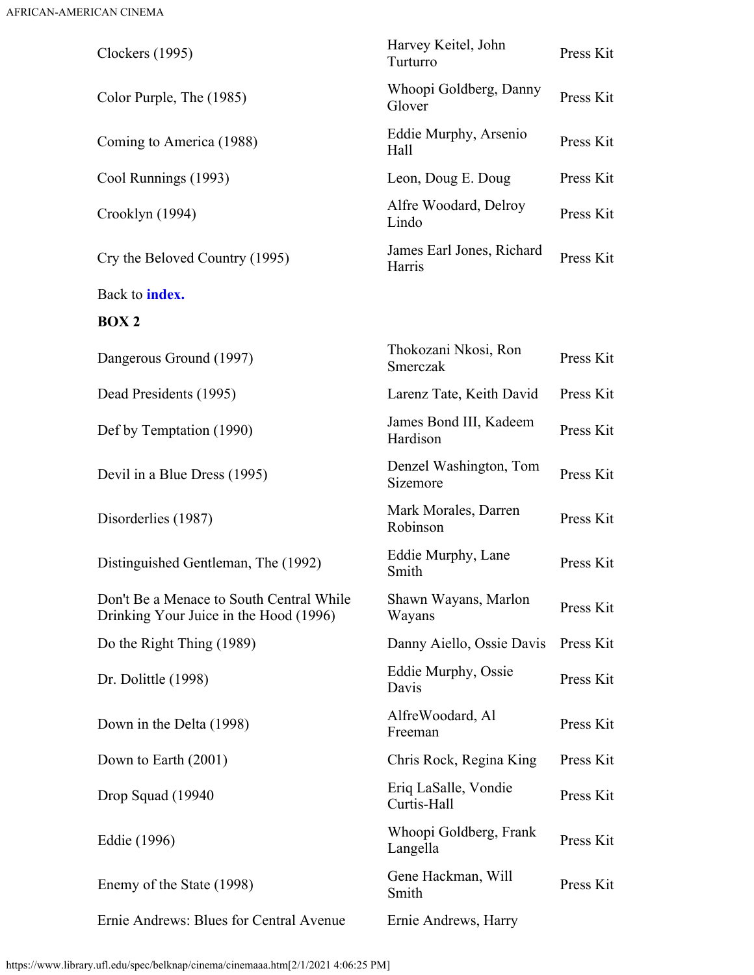<span id="page-3-0"></span>

| Clockers (1995)                                                                    | Harvey Keitel, John<br>Turturro     | Press Kit |
|------------------------------------------------------------------------------------|-------------------------------------|-----------|
| Color Purple, The (1985)                                                           | Whoopi Goldberg, Danny<br>Glover    | Press Kit |
| Coming to America (1988)                                                           | Eddie Murphy, Arsenio<br>Hall       | Press Kit |
| Cool Runnings (1993)                                                               | Leon, Doug E. Doug                  | Press Kit |
| Crooklyn (1994)                                                                    | Alfre Woodard, Delroy<br>Lindo      | Press Kit |
| Cry the Beloved Country (1995)                                                     | James Earl Jones, Richard<br>Harris | Press Kit |
| Back to <b>index.</b>                                                              |                                     |           |
| BOX <sub>2</sub>                                                                   |                                     |           |
| Dangerous Ground (1997)                                                            | Thokozani Nkosi, Ron<br>Smerczak    | Press Kit |
| Dead Presidents (1995)                                                             | Larenz Tate, Keith David            | Press Kit |
| Def by Temptation (1990)                                                           | James Bond III, Kadeem<br>Hardison  | Press Kit |
| Devil in a Blue Dress (1995)                                                       | Denzel Washington, Tom<br>Sizemore  | Press Kit |
| Disorderlies (1987)                                                                | Mark Morales, Darren<br>Robinson    | Press Kit |
| Distinguished Gentleman, The (1992)                                                | Eddie Murphy, Lane<br>Smith         | Press Kit |
| Don't Be a Menace to South Central While<br>Drinking Your Juice in the Hood (1996) | Shawn Wayans, Marlon<br>Wayans      | Press Kit |
| Do the Right Thing (1989)                                                          | Danny Aiello, Ossie Davis           | Press Kit |
| Dr. Dolittle (1998)                                                                | Eddie Murphy, Ossie<br>Davis        | Press Kit |
| Down in the Delta (1998)                                                           | AlfreWoodard, Al<br>Freeman         | Press Kit |
| Down to Earth (2001)                                                               | Chris Rock, Regina King             | Press Kit |
| Drop Squad (19940)                                                                 | Eriq LaSalle, Vondie<br>Curtis-Hall | Press Kit |
| Eddie (1996)                                                                       | Whoopi Goldberg, Frank<br>Langella  | Press Kit |
| Enemy of the State (1998)                                                          | Gene Hackman, Will<br>Smith         | Press Kit |
| Ernie Andrews: Blues for Central Avenue                                            | Ernie Andrews, Harry                |           |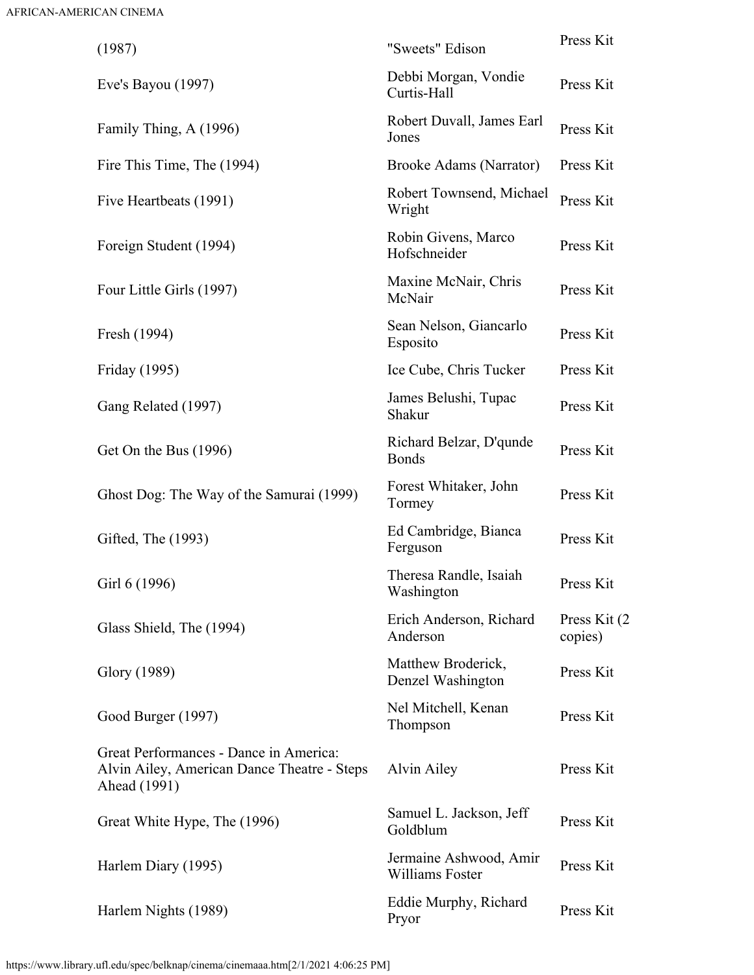| (1987)                                                                                                | "Sweets" Edison                           | Press Kit                |
|-------------------------------------------------------------------------------------------------------|-------------------------------------------|--------------------------|
| Eve's Bayou $(1997)$                                                                                  | Debbi Morgan, Vondie<br>Curtis-Hall       | Press Kit                |
| Family Thing, A (1996)                                                                                | Robert Duvall, James Earl<br>Jones        | Press Kit                |
| Fire This Time, The (1994)                                                                            | <b>Brooke Adams (Narrator)</b>            | Press Kit                |
| Five Heartbeats (1991)                                                                                | Robert Townsend, Michael<br>Wright        | Press Kit                |
| Foreign Student (1994)                                                                                | Robin Givens, Marco<br>Hofschneider       | Press Kit                |
| Four Little Girls (1997)                                                                              | Maxine McNair, Chris<br>McNair            | Press Kit                |
| Fresh (1994)                                                                                          | Sean Nelson, Giancarlo<br>Esposito        | Press Kit                |
| Friday (1995)                                                                                         | Ice Cube, Chris Tucker                    | Press Kit                |
| Gang Related (1997)                                                                                   | James Belushi, Tupac<br>Shakur            | Press Kit                |
| Get On the Bus (1996)                                                                                 | Richard Belzar, D'qunde<br><b>Bonds</b>   | Press Kit                |
| Ghost Dog: The Way of the Samurai (1999)                                                              | Forest Whitaker, John<br>Tormey           | Press Kit                |
| Gifted, The (1993)                                                                                    | Ed Cambridge, Bianca<br>Ferguson          | Press Kit                |
| Girl 6 (1996)                                                                                         | Theresa Randle, Isaiah<br>Washington      | Press Kit                |
| Glass Shield, The (1994)                                                                              | Erich Anderson, Richard<br>Anderson       | Press Kit (2)<br>copies) |
| Glory (1989)                                                                                          | Matthew Broderick,<br>Denzel Washington   | Press Kit                |
| Good Burger (1997)                                                                                    | Nel Mitchell, Kenan<br>Thompson           | Press Kit                |
| Great Performances - Dance in America:<br>Alvin Ailey, American Dance Theatre - Steps<br>Ahead (1991) | Alvin Ailey                               | Press Kit                |
| Great White Hype, The (1996)                                                                          | Samuel L. Jackson, Jeff<br>Goldblum       | Press Kit                |
| Harlem Diary (1995)                                                                                   | Jermaine Ashwood, Amir<br>Williams Foster | Press Kit                |
| Harlem Nights (1989)                                                                                  | Eddie Murphy, Richard<br>Pryor            | Press Kit                |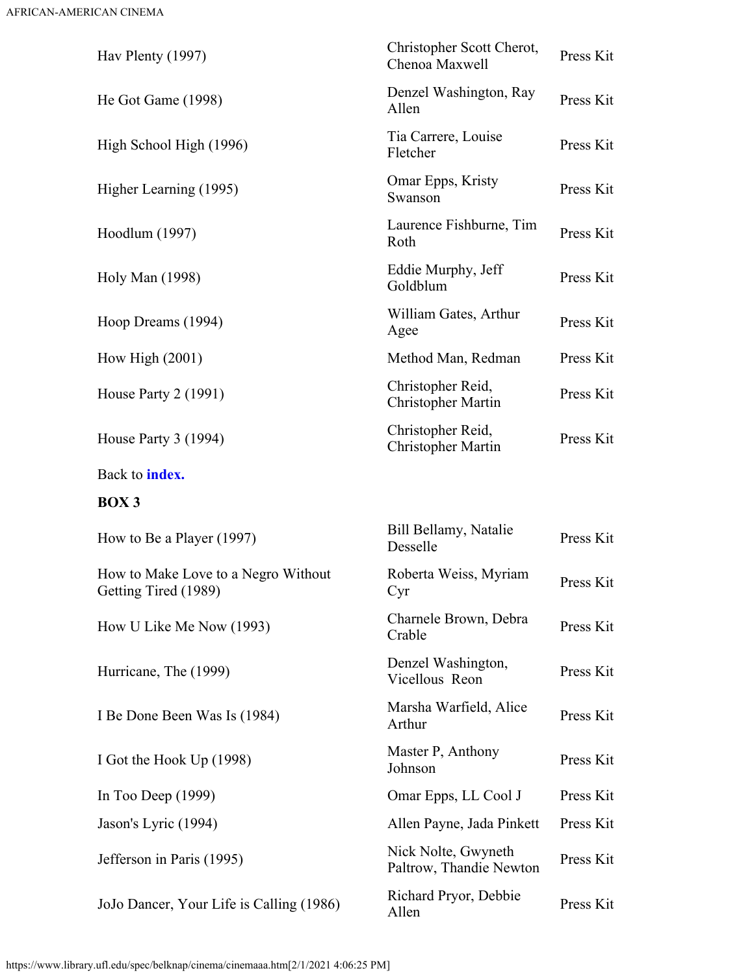<span id="page-5-0"></span>

| Hav Plenty (1997)                                           | Christopher Scott Cherot,<br>Chenoa Maxwell    | Press Kit |
|-------------------------------------------------------------|------------------------------------------------|-----------|
| He Got Game (1998)                                          | Denzel Washington, Ray<br>Allen                | Press Kit |
| High School High (1996)                                     | Tia Carrere, Louise<br>Fletcher                | Press Kit |
| Higher Learning (1995)                                      | Omar Epps, Kristy<br>Swanson                   | Press Kit |
| Hoodlum (1997)                                              | Laurence Fishburne, Tim<br>Roth                | Press Kit |
| Holy Man (1998)                                             | Eddie Murphy, Jeff<br>Goldblum                 | Press Kit |
| Hoop Dreams (1994)                                          | William Gates, Arthur<br>Agee                  | Press Kit |
| How High $(2001)$                                           | Method Man, Redman                             | Press Kit |
| House Party $2(1991)$                                       | Christopher Reid,<br>Christopher Martin        | Press Kit |
| House Party 3 (1994)                                        | Christopher Reid,<br><b>Christopher Martin</b> | Press Kit |
| Back to <b>index.</b>                                       |                                                |           |
| <b>BOX3</b>                                                 |                                                |           |
| How to Be a Player (1997)                                   | Bill Bellamy, Natalie<br>Desselle              | Press Kit |
| How to Make Love to a Negro Without<br>Getting Tired (1989) | Roberta Weiss, Myriam<br>Cyr                   | Press Kit |
| How U Like Me Now (1993)                                    | Charnele Brown, Debra<br>Crable                | Press Kit |
| Hurricane, The (1999)                                       | Denzel Washington,<br>Vicellous Reon           | Press Kit |
| I Be Done Been Was Is (1984)                                | Marsha Warfield, Alice<br>Arthur               | Press Kit |
| I Got the Hook Up (1998)                                    | Master P, Anthony<br>Johnson                   | Press Kit |
| In Too Deep $(1999)$                                        | Omar Epps, LL Cool J                           | Press Kit |
| Jason's Lyric (1994)                                        | Allen Payne, Jada Pinkett                      | Press Kit |
| Jefferson in Paris (1995)                                   | Nick Nolte, Gwyneth<br>Paltrow, Thandie Newton | Press Kit |
|                                                             |                                                |           |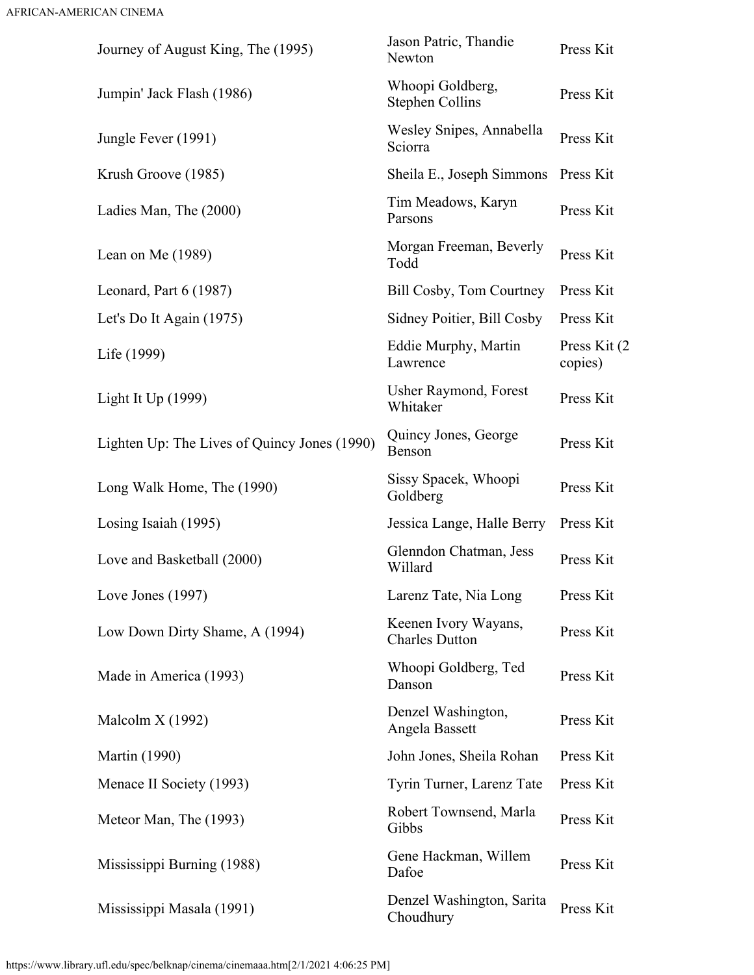| Journey of August King, The (1995)           | Jason Patric, Thandie<br>Newton               | Press Kit                |
|----------------------------------------------|-----------------------------------------------|--------------------------|
| Jumpin' Jack Flash (1986)                    | Whoopi Goldberg,<br><b>Stephen Collins</b>    | Press Kit                |
| Jungle Fever (1991)                          | Wesley Snipes, Annabella<br>Sciorra           | Press Kit                |
| Krush Groove (1985)                          | Sheila E., Joseph Simmons                     | Press Kit                |
| Ladies Man, The (2000)                       | Tim Meadows, Karyn<br>Parsons                 | Press Kit                |
| Lean on Me $(1989)$                          | Morgan Freeman, Beverly<br>Todd               | Press Kit                |
| Leonard, Part $6(1987)$                      | <b>Bill Cosby, Tom Courtney</b>               | Press Kit                |
| Let's Do It Again (1975)                     | Sidney Poitier, Bill Cosby                    | Press Kit                |
| Life (1999)                                  | Eddie Murphy, Martin<br>Lawrence              | Press Kit (2)<br>copies) |
| Light It $Up(1999)$                          | <b>Usher Raymond, Forest</b><br>Whitaker      | Press Kit                |
| Lighten Up: The Lives of Quincy Jones (1990) | Quincy Jones, George<br>Benson                | Press Kit                |
| Long Walk Home, The (1990)                   | Sissy Spacek, Whoopi<br>Goldberg              | Press Kit                |
| Losing Isaiah (1995)                         | Jessica Lange, Halle Berry                    | Press Kit                |
| Love and Basketball (2000)                   | Glenndon Chatman, Jess<br>Willard             | Press Kit                |
| Love Jones (1997)                            | Larenz Tate, Nia Long                         | Press Kit                |
| Low Down Dirty Shame, A (1994)               | Keenen Ivory Wayans,<br><b>Charles Dutton</b> | Press Kit                |
| Made in America (1993)                       | Whoopi Goldberg, Ted<br>Danson                | Press Kit                |
| Malcolm X (1992)                             | Denzel Washington,<br>Angela Bassett          | Press Kit                |
| <b>Martin</b> (1990)                         | John Jones, Sheila Rohan                      | Press Kit                |
| Menace II Society (1993)                     | Tyrin Turner, Larenz Tate                     | Press Kit                |
| Meteor Man, The (1993)                       | Robert Townsend, Marla<br>Gibbs               | Press Kit                |
| Mississippi Burning (1988)                   | Gene Hackman, Willem<br>Dafoe                 | Press Kit                |
| Mississippi Masala (1991)                    | Denzel Washington, Sarita<br>Choudhury        | Press Kit                |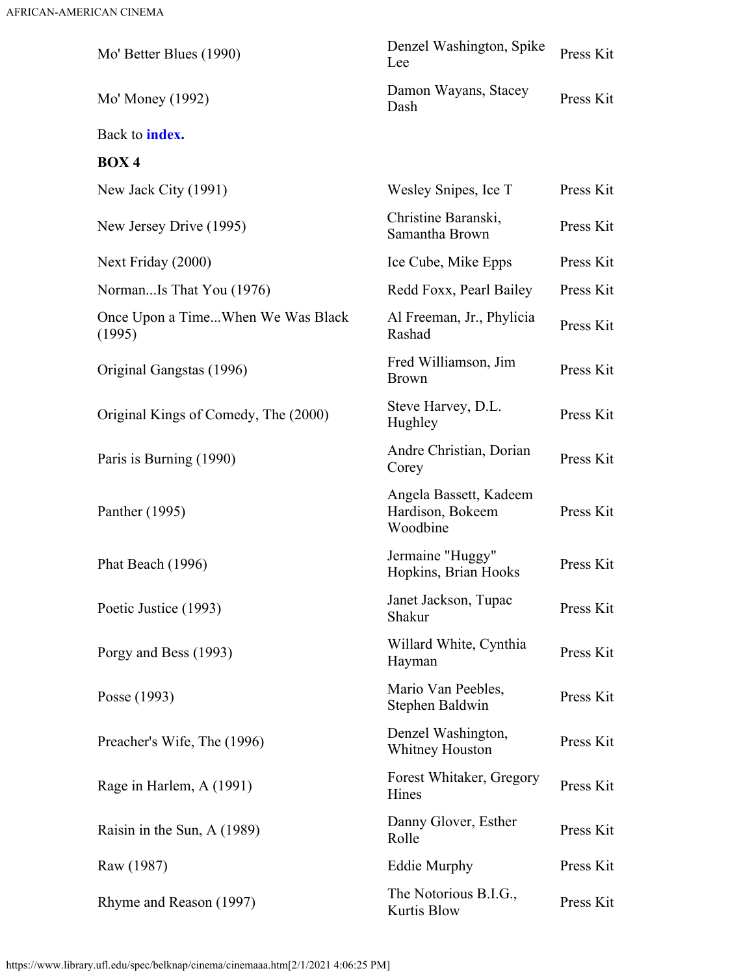<span id="page-7-0"></span>

| Mo' Better Blues (1990)                     | Denzel Washington, Spike<br>Lee                        | Press Kit |
|---------------------------------------------|--------------------------------------------------------|-----------|
| Mo' Money (1992)                            | Damon Wayans, Stacey<br>Dash                           | Press Kit |
| Back to <b>index.</b>                       |                                                        |           |
| <b>BOX4</b>                                 |                                                        |           |
| New Jack City (1991)                        | Wesley Snipes, Ice T                                   | Press Kit |
| New Jersey Drive (1995)                     | Christine Baranski,<br>Samantha Brown                  | Press Kit |
| Next Friday (2000)                          | Ice Cube, Mike Epps                                    | Press Kit |
| NormanIs That You (1976)                    | Redd Foxx, Pearl Bailey                                | Press Kit |
| Once Upon a TimeWhen We Was Black<br>(1995) | Al Freeman, Jr., Phylicia<br>Rashad                    | Press Kit |
| Original Gangstas (1996)                    | Fred Williamson, Jim<br><b>Brown</b>                   | Press Kit |
| Original Kings of Comedy, The (2000)        | Steve Harvey, D.L.<br>Hughley                          | Press Kit |
| Paris is Burning (1990)                     | Andre Christian, Dorian<br>Corey                       | Press Kit |
| Panther (1995)                              | Angela Bassett, Kadeem<br>Hardison, Bokeem<br>Woodbine | Press Kit |
| Phat Beach (1996)                           | Jermaine "Huggy"<br>Hopkins, Brian Hooks               | Press Kit |
| Poetic Justice (1993)                       | Janet Jackson, Tupac<br>Shakur                         | Press Kit |
| Porgy and Bess (1993)                       | Willard White, Cynthia<br>Hayman                       | Press Kit |
| Posse (1993)                                | Mario Van Peebles,<br>Stephen Baldwin                  | Press Kit |
| Preacher's Wife, The (1996)                 | Denzel Washington,<br><b>Whitney Houston</b>           | Press Kit |
| Rage in Harlem, A (1991)                    | Forest Whitaker, Gregory<br>Hines                      | Press Kit |
| Raisin in the Sun, A (1989)                 | Danny Glover, Esther<br>Rolle                          | Press Kit |
| Raw (1987)                                  | <b>Eddie Murphy</b>                                    | Press Kit |
| Rhyme and Reason (1997)                     | The Notorious B.I.G.,<br>Kurtis Blow                   | Press Kit |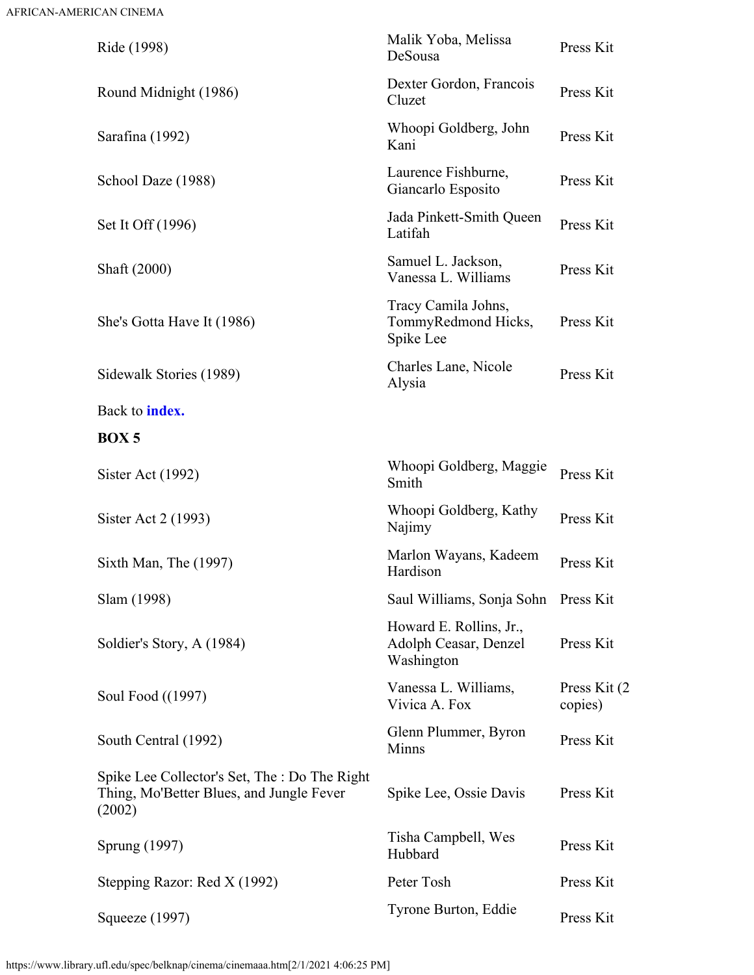<span id="page-8-0"></span>

| Ride (1998)                                                                                         | Malik Yoba, Melissa<br>DeSousa                                 | Press Kit                |
|-----------------------------------------------------------------------------------------------------|----------------------------------------------------------------|--------------------------|
| Round Midnight (1986)                                                                               | Dexter Gordon, Francois<br>Cluzet                              | Press Kit                |
| Sarafina (1992)                                                                                     | Whoopi Goldberg, John<br>Kani                                  | Press Kit                |
| School Daze (1988)                                                                                  | Laurence Fishburne,<br>Giancarlo Esposito                      | Press Kit                |
| Set It Off (1996)                                                                                   | Jada Pinkett-Smith Queen<br>Latifah                            | Press Kit                |
| Shaft (2000)                                                                                        | Samuel L. Jackson,<br>Vanessa L. Williams                      | Press Kit                |
| She's Gotta Have It (1986)                                                                          | Tracy Camila Johns,<br>TommyRedmond Hicks,<br>Spike Lee        | Press Kit                |
| Sidewalk Stories (1989)                                                                             | Charles Lane, Nicole<br>Alysia                                 | Press Kit                |
| Back to <b>index.</b>                                                                               |                                                                |                          |
| <b>BOX5</b>                                                                                         |                                                                |                          |
| Sister Act $(1992)$                                                                                 | Whoopi Goldberg, Maggie<br>Smith                               | Press Kit                |
| Sister Act 2 (1993)                                                                                 | Whoopi Goldberg, Kathy<br>Najimy                               | Press Kit                |
| Sixth Man, The (1997)                                                                               | Marlon Wayans, Kadeem<br>Hardison                              | Press Kit                |
| Slam (1998)                                                                                         | Saul Williams, Sonja Sohn Press Kit                            |                          |
| Soldier's Story, A (1984)                                                                           | Howard E. Rollins, Jr.,<br>Adolph Ceasar, Denzel<br>Washington | Press Kit                |
| Soul Food ((1997)                                                                                   | Vanessa L. Williams,<br>Vivica A. Fox                          | Press Kit (2)<br>copies) |
| South Central (1992)                                                                                | Glenn Plummer, Byron<br><b>Minns</b>                           | Press Kit                |
| Spike Lee Collector's Set, The : Do The Right<br>Thing, Mo'Better Blues, and Jungle Fever<br>(2002) | Spike Lee, Ossie Davis                                         | Press Kit                |
| Sprung (1997)                                                                                       | Tisha Campbell, Wes<br>Hubbard                                 | Press Kit                |
| Stepping Razor: Red X (1992)                                                                        | Peter Tosh                                                     | Press Kit                |
| Squeeze (1997)                                                                                      | Tyrone Burton, Eddie                                           | Press Kit                |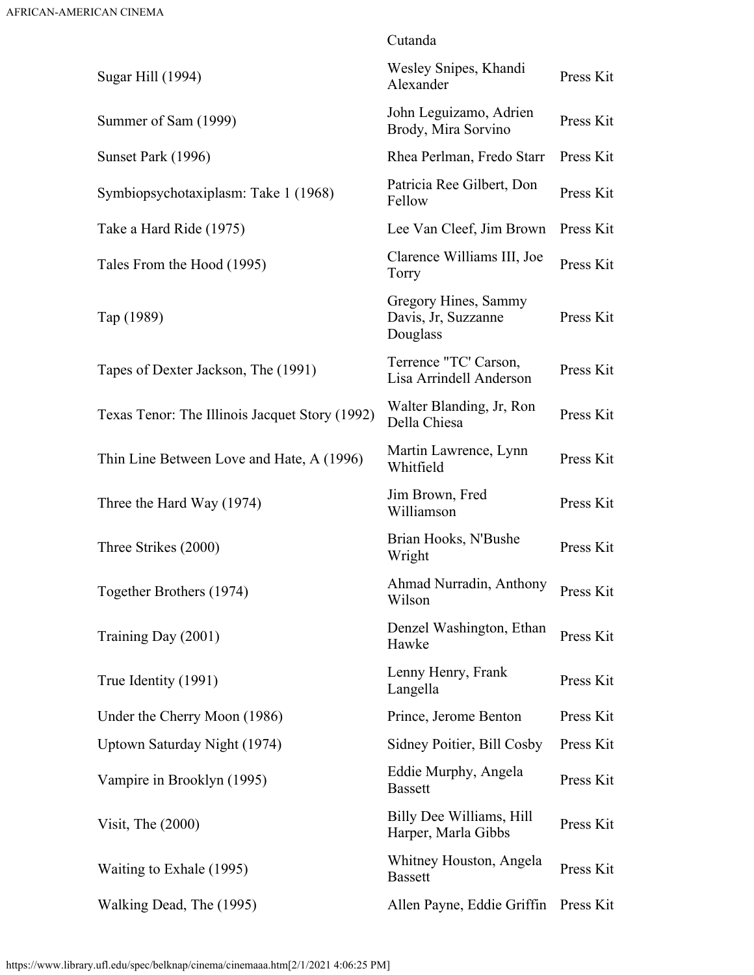|                                                | Cutanda                                                 |           |
|------------------------------------------------|---------------------------------------------------------|-----------|
| Sugar Hill (1994)                              | Wesley Snipes, Khandi<br>Alexander                      | Press Kit |
| Summer of Sam (1999)                           | John Leguizamo, Adrien<br>Brody, Mira Sorvino           | Press Kit |
| Sunset Park (1996)                             | Rhea Perlman, Fredo Starr                               | Press Kit |
| Symbiopsychotaxiplasm: Take 1 (1968)           | Patricia Ree Gilbert, Don<br>Fellow                     | Press Kit |
| Take a Hard Ride (1975)                        | Lee Van Cleef, Jim Brown                                | Press Kit |
| Tales From the Hood (1995)                     | Clarence Williams III, Joe<br>Torry                     | Press Kit |
| Tap (1989)                                     | Gregory Hines, Sammy<br>Davis, Jr, Suzzanne<br>Douglass | Press Kit |
| Tapes of Dexter Jackson, The (1991)            | Terrence "TC' Carson,<br>Lisa Arrindell Anderson        | Press Kit |
| Texas Tenor: The Illinois Jacquet Story (1992) | Walter Blanding, Jr, Ron<br>Della Chiesa                | Press Kit |
| Thin Line Between Love and Hate, A (1996)      | Martin Lawrence, Lynn<br>Whitfield                      | Press Kit |
| Three the Hard Way (1974)                      | Jim Brown, Fred<br>Williamson                           | Press Kit |
| Three Strikes (2000)                           | Brian Hooks, N'Bushe<br>Wright                          | Press Kit |
| Together Brothers (1974)                       | Ahmad Nurradin, Anthony<br>Wilson                       | Press Kit |
| Training Day (2001)                            | Denzel Washington, Ethan<br>Hawke                       | Press Kit |
| True Identity (1991)                           | Lenny Henry, Frank<br>Langella                          | Press Kit |
| Under the Cherry Moon (1986)                   | Prince, Jerome Benton                                   | Press Kit |
| Uptown Saturday Night (1974)                   | Sidney Poitier, Bill Cosby                              | Press Kit |
| Vampire in Brooklyn (1995)                     | Eddie Murphy, Angela<br><b>Bassett</b>                  | Press Kit |
| Visit, The $(2000)$                            | Billy Dee Williams, Hill<br>Harper, Marla Gibbs         | Press Kit |
| Waiting to Exhale (1995)                       | Whitney Houston, Angela<br><b>Bassett</b>               | Press Kit |
| Walking Dead, The (1995)                       | Allen Payne, Eddie Griffin                              | Press Kit |
|                                                |                                                         |           |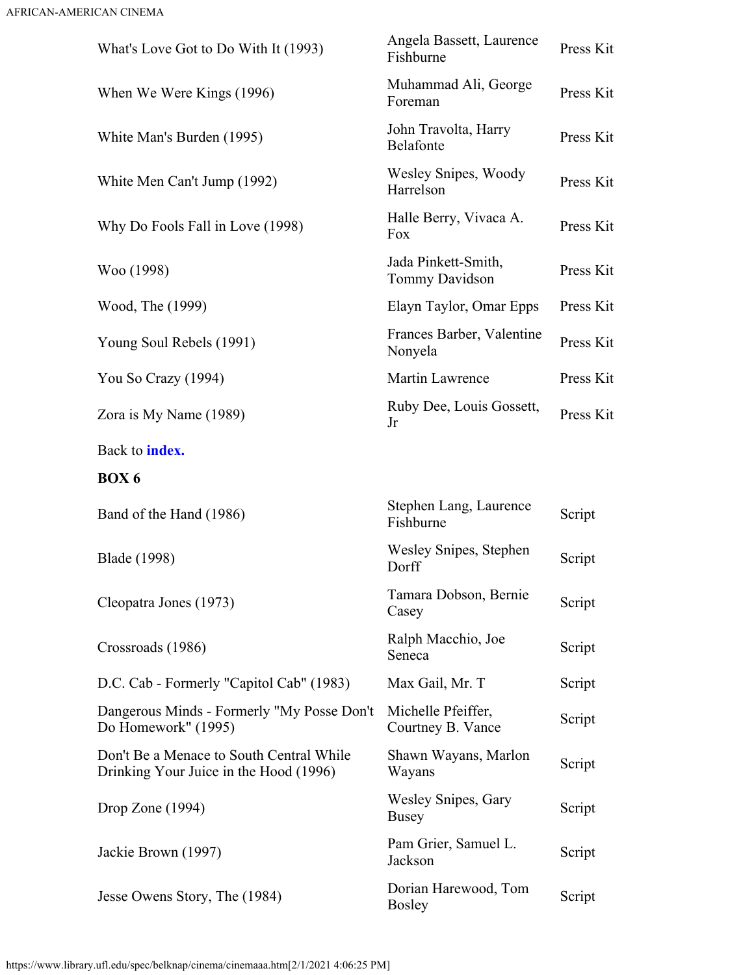<span id="page-10-0"></span>

| What's Love Got to Do With It (1993)                                               | Angela Bassett, Laurence<br>Fishburne   | Press Kit |
|------------------------------------------------------------------------------------|-----------------------------------------|-----------|
| When We Were Kings (1996)                                                          | Muhammad Ali, George<br>Foreman         | Press Kit |
| White Man's Burden (1995)                                                          | John Travolta, Harry<br>Belafonte       | Press Kit |
| White Men Can't Jump (1992)                                                        | Wesley Snipes, Woody<br>Harrelson       | Press Kit |
| Why Do Fools Fall in Love (1998)                                                   | Halle Berry, Vivaca A.<br>Fox           | Press Kit |
| Woo (1998)                                                                         | Jada Pinkett-Smith,<br>Tommy Davidson   | Press Kit |
| Wood, The (1999)                                                                   | Elayn Taylor, Omar Epps                 | Press Kit |
| Young Soul Rebels (1991)                                                           | Frances Barber, Valentine<br>Nonyela    | Press Kit |
| You So Crazy (1994)                                                                | Martin Lawrence                         | Press Kit |
| Zora is My Name (1989)                                                             | Ruby Dee, Louis Gossett,<br>Jr          | Press Kit |
| Back to <b>index.</b>                                                              |                                         |           |
| <b>BOX6</b>                                                                        |                                         |           |
| Band of the Hand (1986)                                                            | Stephen Lang, Laurence<br>Fishburne     | Script    |
| <b>Blade</b> (1998)                                                                | Wesley Snipes, Stephen<br>Dorff         | Script    |
| Cleopatra Jones (1973)                                                             | Tamara Dobson, Bernie<br>Casey          | Script    |
| Crossroads (1986)                                                                  | Ralph Macchio, Joe<br>Seneca            | Script    |
| D.C. Cab - Formerly "Capitol Cab" (1983)                                           | Max Gail, Mr. T                         | Script    |
| Dangerous Minds - Formerly "My Posse Don't<br>Do Homework" (1995)                  | Michelle Pfeiffer,<br>Courtney B. Vance | Script    |
| Don't Be a Menace to South Central While<br>Drinking Your Juice in the Hood (1996) | Shawn Wayans, Marlon<br>Wayans          | Script    |
| Drop Zone $(1994)$                                                                 | Wesley Snipes, Gary<br><b>Busey</b>     | Script    |
| Jackie Brown (1997)                                                                | Pam Grier, Samuel L.<br>Jackson         | Script    |
| Jesse Owens Story, The (1984)                                                      | Dorian Harewood, Tom<br><b>Bosley</b>   | Script    |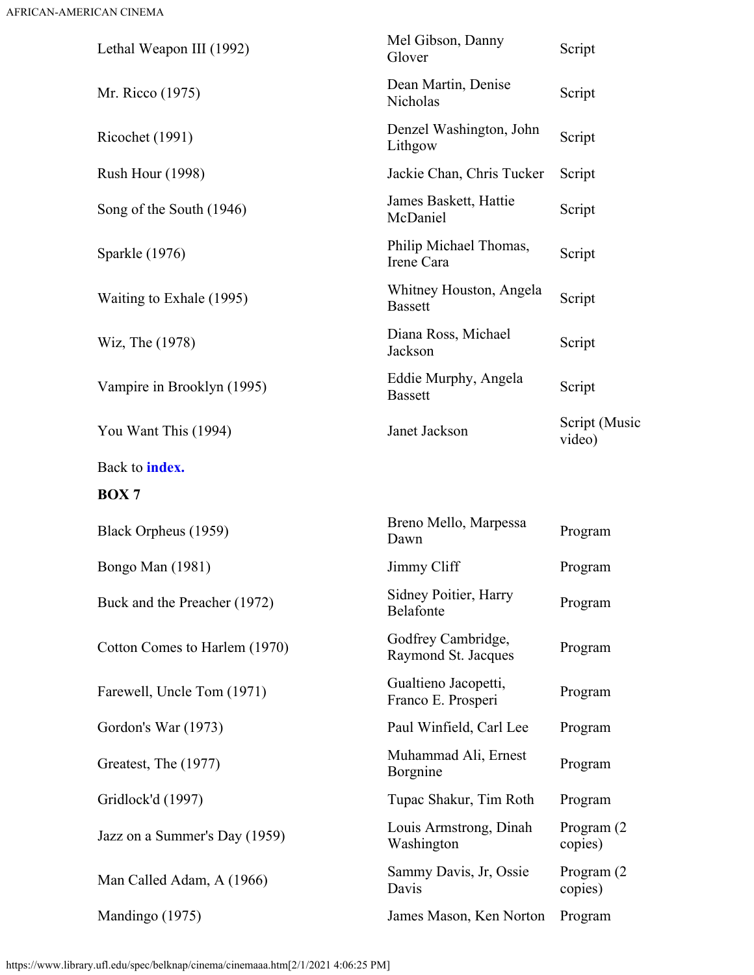<span id="page-11-0"></span>

| Lethal Weapon III (1992)      | Mel Gibson, Danny<br>Glover                | Script                  |
|-------------------------------|--------------------------------------------|-------------------------|
| Mr. Ricco (1975)              | Dean Martin, Denise<br>Nicholas            | Script                  |
| Ricochet (1991)               | Denzel Washington, John<br>Lithgow         | Script                  |
| <b>Rush Hour (1998)</b>       | Jackie Chan, Chris Tucker                  | Script                  |
| Song of the South (1946)      | James Baskett, Hattie<br>McDaniel          | Script                  |
| Sparkle (1976)                | Philip Michael Thomas,<br>Irene Cara       | Script                  |
| Waiting to Exhale (1995)      | Whitney Houston, Angela<br><b>Bassett</b>  | Script                  |
| Wiz, The (1978)               | Diana Ross, Michael<br>Jackson             | Script                  |
| Vampire in Brooklyn (1995)    | Eddie Murphy, Angela<br><b>Bassett</b>     | Script                  |
| You Want This (1994)          | Janet Jackson                              | Script (Music<br>video) |
| Back to <b>index.</b>         |                                            |                         |
| <b>BOX7</b>                   |                                            |                         |
| Black Orpheus (1959)          | Breno Mello, Marpessa<br>Dawn              | Program                 |
| Bongo Man (1981)              | Jimmy Cliff                                | Program                 |
| Buck and the Preacher (1972)  | Sidney Poitier, Harry<br>Belafonte         | Program                 |
| Cotton Comes to Harlem (1970) | Godfrey Cambridge,<br>Raymond St. Jacques  | Program                 |
| Farewell, Uncle Tom (1971)    | Gualtieno Jacopetti,<br>Franco E. Prosperi | Program                 |
| Gordon's War (1973)           | Paul Winfield, Carl Lee                    | Program                 |
| Greatest, The (1977)          | Muhammad Ali, Ernest<br>Borgnine           | Program                 |
| Gridlock'd (1997)             | Tupac Shakur, Tim Roth                     | Program                 |
| Jazz on a Summer's Day (1959) | Louis Armstrong, Dinah<br>Washington       | Program (2)<br>copies)  |
| Man Called Adam, A (1966)     | Sammy Davis, Jr, Ossie<br>Davis            | Program (2)<br>copies)  |
| Mandingo (1975)               | James Mason, Ken Norton                    | Program                 |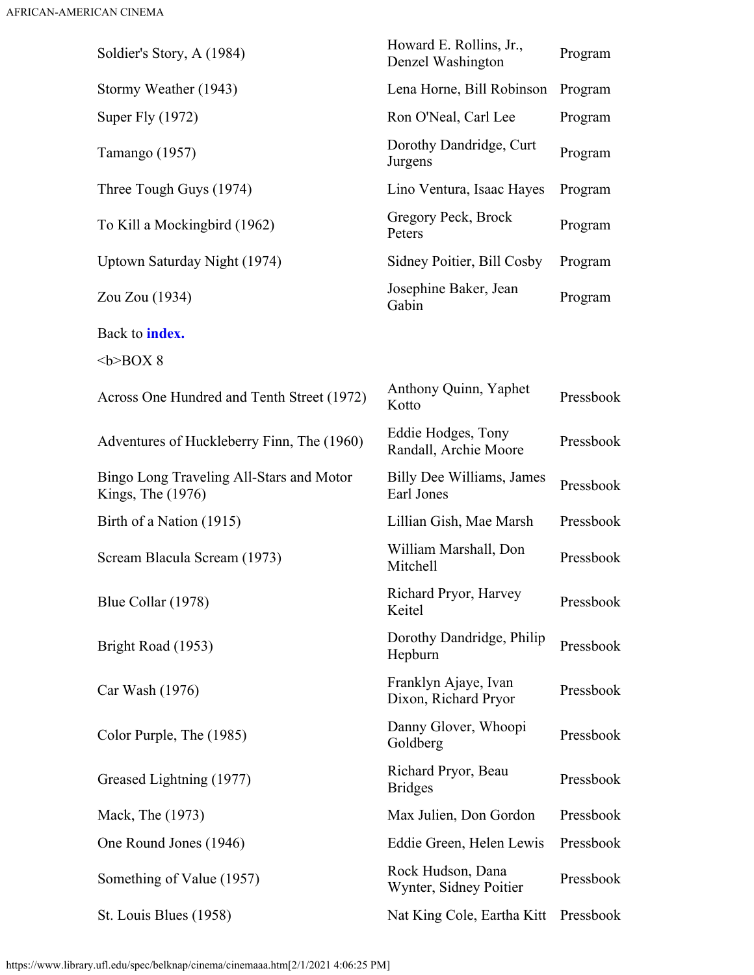<span id="page-12-0"></span>

| Soldier's Story, A (1984)                                     | Howard E. Rollins, Jr.,<br>Denzel Washington | Program   |
|---------------------------------------------------------------|----------------------------------------------|-----------|
| Stormy Weather (1943)                                         | Lena Horne, Bill Robinson                    | Program   |
| Super Fly (1972)                                              | Ron O'Neal, Carl Lee                         | Program   |
| Tamango (1957)                                                | Dorothy Dandridge, Curt<br>Jurgens           | Program   |
| Three Tough Guys (1974)                                       | Lino Ventura, Isaac Hayes                    | Program   |
| To Kill a Mockingbird (1962)                                  | Gregory Peck, Brock<br>Peters                | Program   |
| Uptown Saturday Night (1974)                                  | Sidney Poitier, Bill Cosby                   | Program   |
| Zou Zou (1934)                                                | Josephine Baker, Jean<br>Gabin               | Program   |
| Back to <b>index</b> .                                        |                                              |           |
| $580X8$                                                       |                                              |           |
| Across One Hundred and Tenth Street (1972)                    | Anthony Quinn, Yaphet<br>Kotto               | Pressbook |
| Adventures of Huckleberry Finn, The (1960)                    | Eddie Hodges, Tony<br>Randall, Archie Moore  | Pressbook |
| Bingo Long Traveling All-Stars and Motor<br>Kings, The (1976) | Billy Dee Williams, James<br>Earl Jones      | Pressbook |
| Birth of a Nation (1915)                                      | Lillian Gish, Mae Marsh                      | Pressbook |
| Scream Blacula Scream (1973)                                  | William Marshall, Don<br>Mitchell            | Pressbook |
| Blue Collar (1978)                                            | Richard Pryor, Harvey<br>Keitel              | Pressbook |
| Bright Road (1953)                                            | Dorothy Dandridge, Philip<br>Hepburn         | Pressbook |
| Car Wash (1976)                                               | Franklyn Ajaye, Ivan<br>Dixon, Richard Pryor | Pressbook |
| Color Purple, The (1985)                                      | Danny Glover, Whoopi<br>Goldberg             | Pressbook |
| Greased Lightning (1977)                                      | Richard Pryor, Beau<br><b>Bridges</b>        | Pressbook |
| Mack, The (1973)                                              | Max Julien, Don Gordon                       | Pressbook |
| One Round Jones (1946)                                        | Eddie Green, Helen Lewis                     | Pressbook |
| Something of Value (1957)                                     | Rock Hudson, Dana<br>Wynter, Sidney Poitier  | Pressbook |
| St. Louis Blues (1958)                                        | Nat King Cole, Eartha Kitt                   | Pressbook |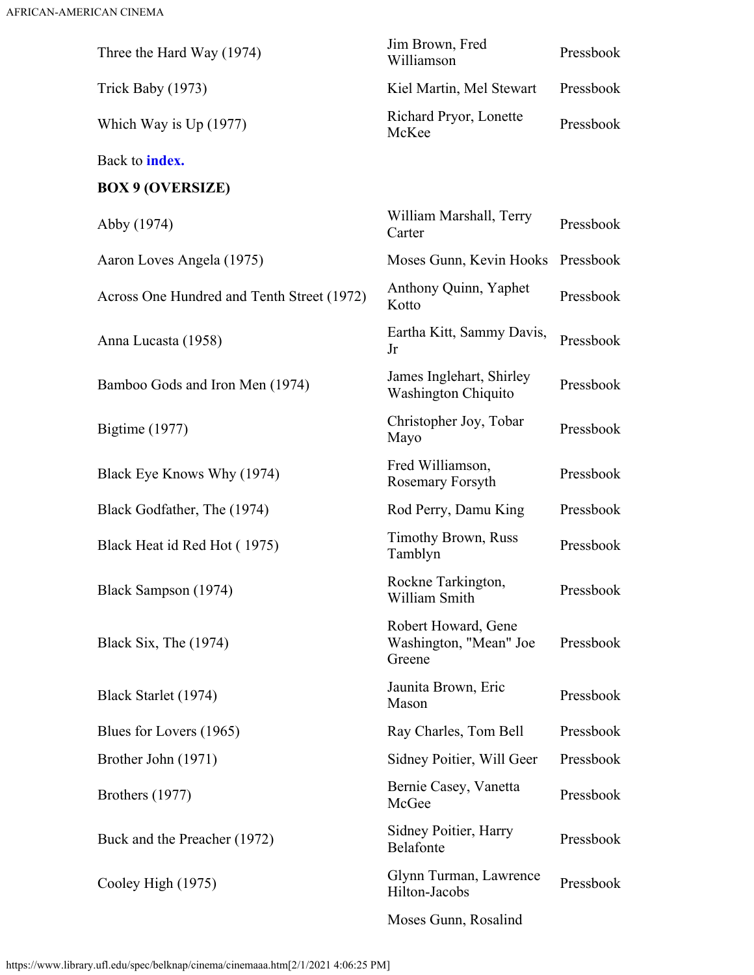<span id="page-13-0"></span>

| Three the Hard Way (1974)                  | Jim Brown, Fred<br>Williamson                           | Pressbook |
|--------------------------------------------|---------------------------------------------------------|-----------|
| Trick Baby (1973)                          | Kiel Martin, Mel Stewart                                | Pressbook |
| Which Way is $Up(1977)$                    | Richard Pryor, Lonette<br>McKee                         | Pressbook |
| Back to <b>index.</b>                      |                                                         |           |
| <b>BOX 9 (OVERSIZE)</b>                    |                                                         |           |
| Abby (1974)                                | William Marshall, Terry<br>Carter                       | Pressbook |
| Aaron Loves Angela (1975)                  | Moses Gunn, Kevin Hooks                                 | Pressbook |
| Across One Hundred and Tenth Street (1972) | Anthony Quinn, Yaphet<br>Kotto                          | Pressbook |
| Anna Lucasta (1958)                        | Eartha Kitt, Sammy Davis,<br>Jr                         | Pressbook |
| Bamboo Gods and Iron Men (1974)            | James Inglehart, Shirley<br><b>Washington Chiquito</b>  | Pressbook |
| <b>Bigtime</b> (1977)                      | Christopher Joy, Tobar<br>Mayo                          | Pressbook |
| Black Eye Knows Why (1974)                 | Fred Williamson,<br>Rosemary Forsyth                    | Pressbook |
| Black Godfather, The (1974)                | Rod Perry, Damu King                                    | Pressbook |
| Black Heat id Red Hot (1975)               | <b>Timothy Brown, Russ</b><br>Tamblyn                   | Pressbook |
| Black Sampson (1974)                       | Rockne Tarkington,<br>William Smith                     | Pressbook |
| Black Six, The (1974)                      | Robert Howard, Gene<br>Washington, "Mean" Joe<br>Greene | Pressbook |
| Black Starlet (1974)                       | Jaunita Brown, Eric<br>Mason                            | Pressbook |
| Blues for Lovers (1965)                    | Ray Charles, Tom Bell                                   | Pressbook |
| Brother John (1971)                        | Sidney Poitier, Will Geer                               | Pressbook |
| Brothers (1977)                            | Bernie Casey, Vanetta<br>McGee                          | Pressbook |
| Buck and the Preacher (1972)               | Sidney Poitier, Harry<br>Belafonte                      | Pressbook |
| Cooley High (1975)                         | Glynn Turman, Lawrence<br>Hilton-Jacobs                 | Pressbook |
|                                            | Moses Gunn, Rosalind                                    |           |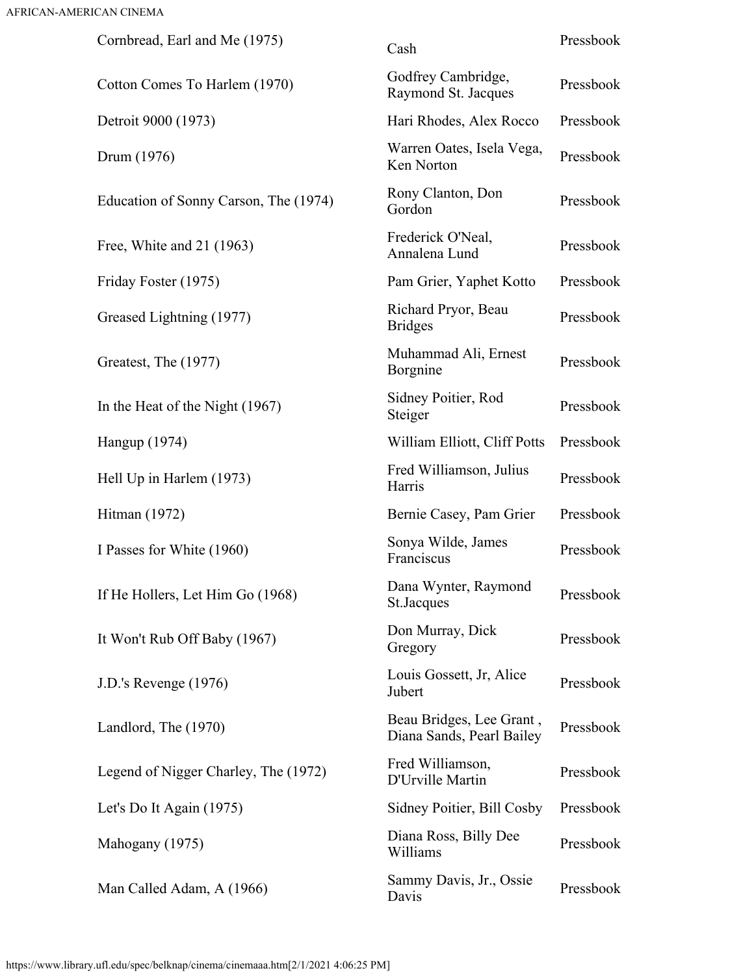| Cornbread, Earl and Me (1975)         | Cash                                                  | Pressbook |
|---------------------------------------|-------------------------------------------------------|-----------|
| Cotton Comes To Harlem (1970)         | Godfrey Cambridge,<br>Raymond St. Jacques             | Pressbook |
| Detroit 9000 (1973)                   | Hari Rhodes, Alex Rocco                               | Pressbook |
| Drum (1976)                           | Warren Oates, Isela Vega,<br>Ken Norton               | Pressbook |
| Education of Sonny Carson, The (1974) | Rony Clanton, Don<br>Gordon                           | Pressbook |
| Free, White and 21 (1963)             | Frederick O'Neal,<br>Annalena Lund                    | Pressbook |
| Friday Foster (1975)                  | Pam Grier, Yaphet Kotto                               | Pressbook |
| Greased Lightning (1977)              | Richard Pryor, Beau<br><b>Bridges</b>                 | Pressbook |
| Greatest, The (1977)                  | Muhammad Ali, Ernest<br>Borgnine                      | Pressbook |
| In the Heat of the Night (1967)       | Sidney Poitier, Rod<br>Steiger                        | Pressbook |
| Hangup (1974)                         | William Elliott, Cliff Potts                          | Pressbook |
| Hell Up in Harlem (1973)              | Fred Williamson, Julius<br>Harris                     | Pressbook |
| Hitman (1972)                         | Bernie Casey, Pam Grier                               | Pressbook |
| I Passes for White (1960)             | Sonya Wilde, James<br>Franciscus                      | Pressbook |
| If He Hollers, Let Him Go (1968)      | Dana Wynter, Raymond<br>St.Jacques                    | Pressbook |
| It Won't Rub Off Baby (1967)          | Don Murray, Dick<br>Gregory                           | Pressbook |
| J.D.'s Revenge (1976)                 | Louis Gossett, Jr, Alice<br>Jubert                    | Pressbook |
| Landlord, The (1970)                  | Beau Bridges, Lee Grant,<br>Diana Sands, Pearl Bailey | Pressbook |
| Legend of Nigger Charley, The (1972)  | Fred Williamson,<br>D'Urville Martin                  | Pressbook |
| Let's Do It Again (1975)              | Sidney Poitier, Bill Cosby                            | Pressbook |
| Mahogany (1975)                       | Diana Ross, Billy Dee<br>Williams                     | Pressbook |
| Man Called Adam, A (1966)             | Sammy Davis, Jr., Ossie<br>Davis                      | Pressbook |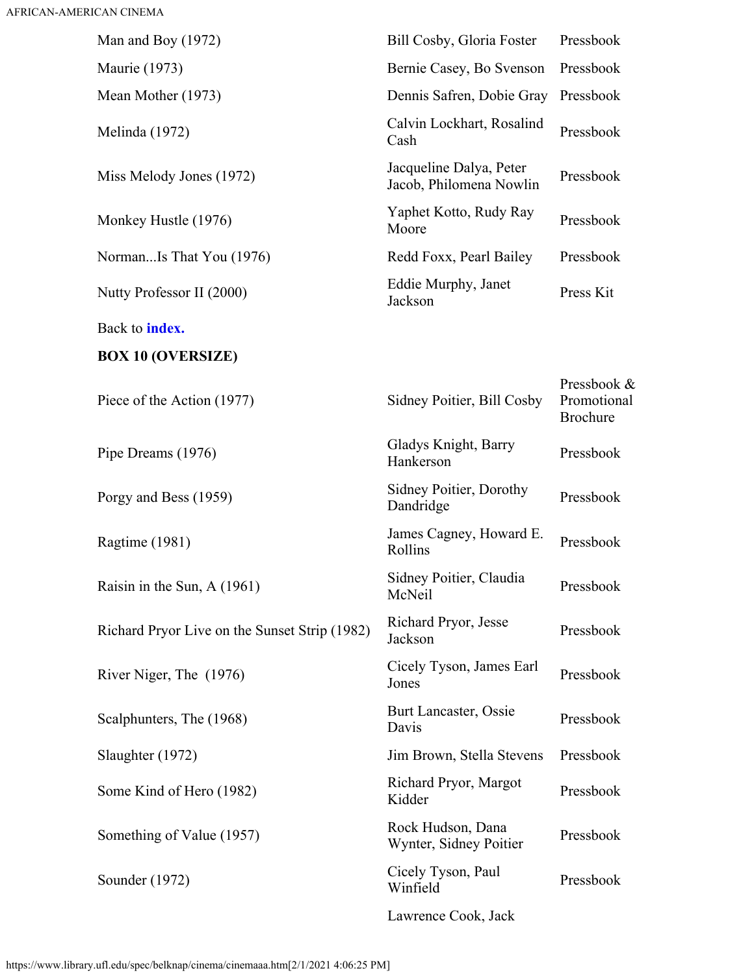<span id="page-15-0"></span>

| Man and Boy $(1972)$                          | Bill Cosby, Gloria Foster                          | Pressbook                                     |
|-----------------------------------------------|----------------------------------------------------|-----------------------------------------------|
| <b>Maurie</b> (1973)                          | Bernie Casey, Bo Svenson                           | Pressbook                                     |
| Mean Mother (1973)                            | Dennis Safren, Dobie Gray                          | Pressbook                                     |
| Melinda (1972)                                | Calvin Lockhart, Rosalind<br>Cash                  | Pressbook                                     |
| Miss Melody Jones (1972)                      | Jacqueline Dalya, Peter<br>Jacob, Philomena Nowlin | Pressbook                                     |
| Monkey Hustle (1976)                          | Yaphet Kotto, Rudy Ray<br>Moore                    | Pressbook                                     |
| NormanIs That You (1976)                      | Redd Foxx, Pearl Bailey                            | Pressbook                                     |
| Nutty Professor II (2000)                     | Eddie Murphy, Janet<br>Jackson                     | Press Kit                                     |
| Back to <b>index.</b>                         |                                                    |                                               |
| <b>BOX 10 (OVERSIZE)</b>                      |                                                    |                                               |
| Piece of the Action (1977)                    | Sidney Poitier, Bill Cosby                         | Pressbook &<br>Promotional<br><b>Brochure</b> |
| Pipe Dreams (1976)                            | Gladys Knight, Barry<br>Hankerson                  | Pressbook                                     |
| Porgy and Bess (1959)                         | Sidney Poitier, Dorothy<br>Dandridge               | Pressbook                                     |
| Ragtime (1981)                                | James Cagney, Howard E.<br>Rollins                 | Pressbook                                     |
| Raisin in the Sun, A (1961)                   | Sidney Poitier, Claudia<br>McNeil                  | Pressbook                                     |
| Richard Pryor Live on the Sunset Strip (1982) | Richard Pryor, Jesse<br>Jackson                    | Pressbook                                     |
| River Niger, The (1976)                       | Cicely Tyson, James Earl<br>Jones                  | Pressbook                                     |
| Scalphunters, The (1968)                      | Burt Lancaster, Ossie<br>Davis                     | Pressbook                                     |
| Slaughter (1972)                              | Jim Brown, Stella Stevens                          | Pressbook                                     |
| Some Kind of Hero (1982)                      | Richard Pryor, Margot<br>Kidder                    | Pressbook                                     |
| Something of Value (1957)                     | Rock Hudson, Dana<br>Wynter, Sidney Poitier        | Pressbook                                     |
| Sounder (1972)                                | Cicely Tyson, Paul<br>Winfield                     | Pressbook                                     |
|                                               | Lawrence Cook, Jack                                |                                               |